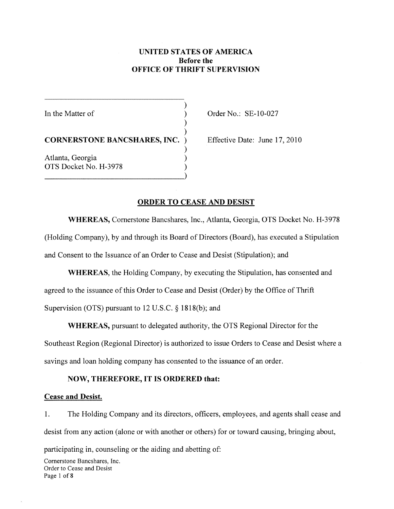## **UNITED STATES OF AMERICA Before the OFFICE OF THRIFT SUPERVISION**

) ) ) )

) ) )

In the Matter of

**CORNERSTONE BANCSHARES, INC.** ) Effective Date: June 17,2010

----------------------------)

Atlanta, Georgia OTS Docket No. H-3978 Order No.: SE-10-027

# **ORDER TO CEASE AND DESIST**

**WHEREAS,** Cornerstone Bancshares, Inc., Atlanta, Georgia, OTS Docket No. H-3978 (Holding Company), by and through its Board of Directors (Board), has executed a Stipulation and Consent to the Issuance of an Order to Cease and Desist (Stipulation); and

**WHEREAS,** the Holding Company, by executing the Stipulation, has consented and agreed to the issuance of this Order to Cease and Desist (Order) by the Office of Thrift Supervision (OTS) pursuant to 12 U.S.C. § 1818(b); and

**WHEREAS,** pursuant to delegated authority, the OTS Regional Director for the Southeast Region (Regional Director) is authorized to issue Orders to Cease and Desist where a savings and loan holding company has consented to the issuance of an order.

# **NOW, THEREFORE, IT IS ORDERED that:**

## **Cease and Desist.**

1. The Holding Company and its directors, officers, employees, and agents shall cease and desist from any action (alone or with another or others) for or toward causing, bringing about,

participating in, counseling or the aiding and abetting of:

Cornerstone Bancshares, Inc. Order to Cease and Desist Page 1 of 8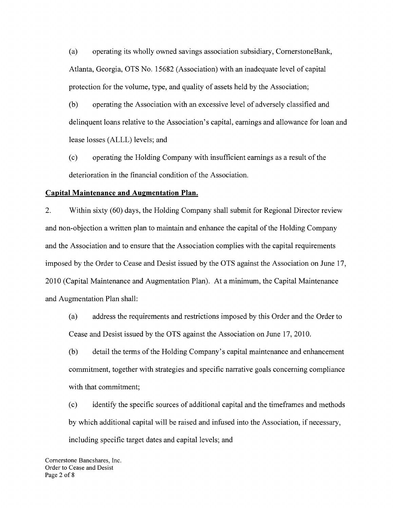(a) operating its wholly owned savings association subsidiary, CornerstoneBank, Atlanta, Georgia, OTS No. 15682 (Association) with an inadequate level of capital protection for the volume, type, and quality of assets held by the Association;

(b) operating the Association with an excessive level of adversely classified and delinquent loans relative to the Association's capital, earnings and allowance for loan and lease losses (ALLL) levels; and

(c) operating the Holding Company with insufficient earnings as a result of the deterioration in the financial condition of the Association.

## **Capital Maintenance and Augmentation Plan.**

2. Within sixty (60) days, the Holding Company shall submit for Regional Director review and non-objection a written plan to maintain and enhance the capital of the Holding Company and the Association and to ensure that the Association complies with the capital requirements imposed by the Order to Cease and Desist issued by the OTS against the Association on June 17, 2010 (Capital Maintenance and Augmentation Plan). At a minimum, the Capital Maintenance and Augmentation Plan shall:

(a) address the requirements and restrictions imposed by this Order and the Order to Cease and Desist issued by the OTS against the Association on June 17,2010.

(b) detail the terms of the Holding Company's capital maintenance and enhancement commitment, together with strategies and specific narrative goals concerning compliance with that commitment;

(c) identify the specific sources of additional capital and the timeframes and methods by which additional capital will be raised and infused into the Association, if necessary, including specific target dates and capital levels; and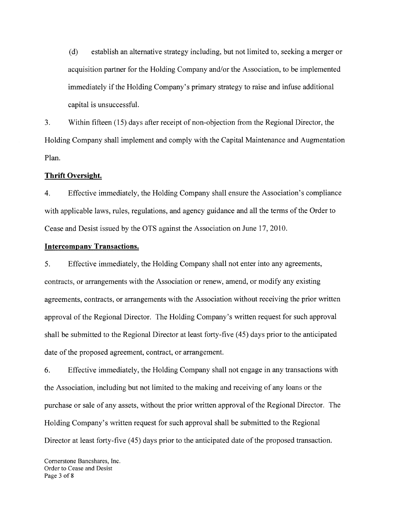(d) establish an alternative strategy including, but not limited to, seeking a merger or acquisition partner for the Holding Company and/or the Association, to be implemented immediately if the Holding Company's primary strategy to raise and infuse additional capital is unsuccessful.

3. Within fifteen (15) days after receipt of non-objection from the Regional Director, the Holding Company shall implement and comply with the Capital Maintenance and Augmentation Plan.

## **Thrift Oversight.**

4. Effective immediately, the Holding Company shall ensure the Association's compliance with applicable laws, rules, regulations, and agency guidance and all the terms of the Order to Cease and Desist issued by the OTS against the Association on June 17,2010.

### **Intercompany Transactions.**

5. Effective immediately, the Holding Company shall not enter into any agreements, contracts, or arrangements with the Association or renew, amend, or modify any existing agreements, contracts, or arrangements with the Association without receiving the prior written approval of the Regional Director. The Holding Company's written request for such approval shall be submitted to the Regional Director at least forty-five (45) days prior to the anticipated date of the proposed agreement, contract, or arrangement.

6. Effective immediately, the Holding Company shall not engage in any transactions with the Association, including but not limited to the making and receiving of any loans or the purchase or sale of any assets, without the prior written approval of the Regional Director. The Holding Company's written request for such approval shall be submitted to the Regional Director at least forty-five (45) days prior to the anticipated date of the proposed transaction.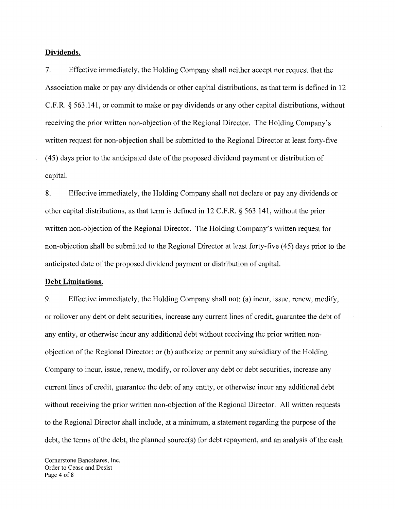#### **Dividends.**

7. Effective immediately, the Holding Company shall neither accept nor request that the Association make or pay any dividends or other capital distributions, as that term is defined in 12 C.F.R. § 563.141, or commit to make or pay dividends or any other capital distributions, without receiving the prior written non-objection of the Regional Director. The Holding Company's written request for non-objection shall be submitted to the Regional Director at least forty-five (45) days prior to the anticipated date of the proposed dividend payment or distribution of capital.

8. Effective immediately, the Holding Company shall not declare or pay any dividends or other capital distributions, as that term is defined in 12 C.F.R. § 563.141, without the prior written non-objection of the Regional Director. The Holding Company's written request for non-objection shall be submitted to the Regional Director at least forty-five (45) days prior to the anticipated date of the proposed dividend payment or distribution of capital.

#### **Debt Limitations.**

9. Effective immediately, the Holding Company shall not: (a) incur, issue, renew, modify, or rollover any debt or debt securities, increase any current lines of credit, guarantee the debt of any entity, or otherwise incur any additional debt without receiving the prior written nonobjection of the Regional Director; or (b) authorize or permit any subsidiary of the Holding Company to incur, issue, renew, modify, or rollover any debt or debt securities, increase any current lines of credit, guarantee the debt of any entity, or otherwise incur any additional debt without receiving the prior written non-objection of the Regional Director. All written requests to the Regional Director shall include, at a minimum, a statement regarding the purpose of the debt, the terms of the debt, the planned source(s) for debt repayment, and an analysis of the cash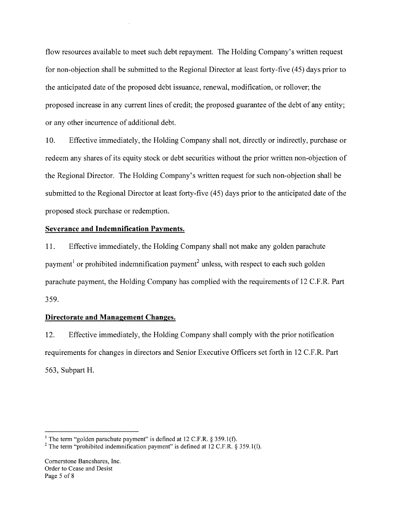flow resources available to meet such debt repayment. The Holding Company's written request for non-objection shall be submitted to the Regional Director at least forty-five (45) days prior to the anticipated date of the proposed debt issuance, renewal, modification, or rollover; the proposed increase in any current lines of credit; the proposed guarantee of the debt of any entity; or any other incurrence of additional debt.

10. Effective immediately, the Holding Company shall not, directly or indirectly, purchase or redeem any shares of its equity stock or debt securities without the prior written non-objection of the Regional Director. The Holding Company's written request for such non-objection shall be submitted to the Regional Director at least forty-five (45) days prior to the anticipated date of the proposed stock purchase or redemption.

## **Severance and Indemnification Payments.**

11. Effective immediately, the Holding Company shall not make any golden parachute payment<sup>1</sup> or prohibited indemnification payment<sup>2</sup> unless, with respect to each such golden parachute payment, the Holding Company has complied with the requirements of 12 C.F.R. Part 359.

## **Directorate and Management Changes.**

12. Effective immediately, the Holding Company shall comply with the prior notification requirements for changes in directors and Senior Executive Officers set forth in 12 C.F.R. Part 563, Subpart H.

<sup>&</sup>lt;sup>1</sup> The term "golden parachute payment" is defined at 12 C.F.R. § 359.1(f).

<sup>&</sup>lt;sup>2</sup> The term "prohibited indemnification payment" is defined at 12 C.F.R.  $\S$  359.1(1).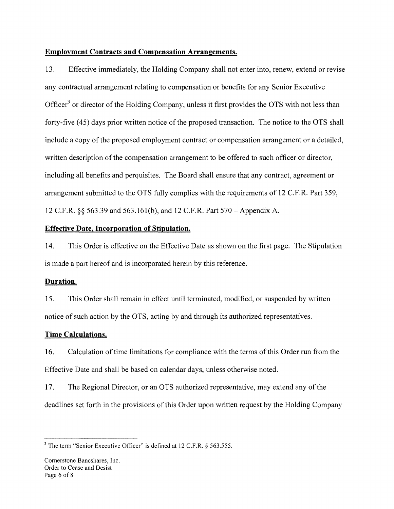# **Employment Contracts and Compensation Arrangements.**

13. Effective immediately, the Holding Company shall not enter into, renew, extend or revise any contractual arrangement relating to compensation or benefits for any Senior Executive Officer<sup>3</sup> or director of the Holding Company, unless it first provides the OTS with not less than forty-five (45) days prior written notice of the proposed transaction. The notice to the OTS shall include a copy of the proposed employment contract or compensation arrangement or a detailed, written description of the compensation arrangement to be offered to such officer or director, including all benefits and perquisites. The Board shall ensure that any contract, agreement or arrangement submitted to the OTS fully complies with the requirements of 12 C.F.R. Part 359, 12 C.F.R. §§ 563.39 and 563.161(b), and 12 C.F.R. Part 570 - Appendix A.

# **Effective Date, Incorporation of Stipulation.**

14. This Order is effective on the Effective Date as shown on the first page. The Stipulation is made a part hereof and is incorporated herein by this reference.

# **Duration.**

15. This Order shall remain in effect until terminated, modified, or suspended by written notice of such action by the OTS, acting by and through its authorized representatives.

# **Time Calculations.**

16. Calculation of time limitations for compliance with the terms of this Order run from the Effective Date and shall be based on calendar days, unless otherwise noted.

17. The Regional Director, or an OTS authorized representative, may extend any of the deadlines set forth in the provisions of this Order upon written request by the Holding Company

<sup>&</sup>lt;sup>3</sup> The term "Senior Executive Officer" is defined at 12 C.F.R. § 563.555.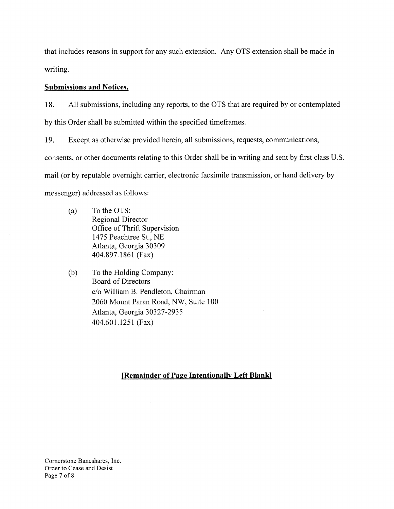that includes reasons in support for any such extension. Any OTS extension shall be made in writing.

### **Submissions and Notices.**

18. All submissions, including any reports, to the OTS that are required by or contemplated by this Order shall be submitted within the specified timeframes.

19. Except as otherwise provided herein, all submissions, requests, communications, consents, or other documents relating to this Order shall be in writing and sent by first class U.S. mail (or by reputable overnight carrier, electronic facsimile transmission, or hand delivery by messenger) addressed as follows:

- (a) To the OTS: Regional Director Office of Thrift Supervision 1475 Peachtree St., NE Atlanta, Georgia 30309 404.897.1861 (Fax)
- (b) To the Holding Company: Board of Directors c/o William B. Pendleton, Chairman 2060 Mount Paran Road, NW, Suite 100 Atlanta, Georgia 30327-2935 404.601.1251 (Fax)

## **[Remainder of Page Intentionally Left Blank]**

Cornerstone Bancshares, Inc. Order to Cease and Desist Page 7 of 8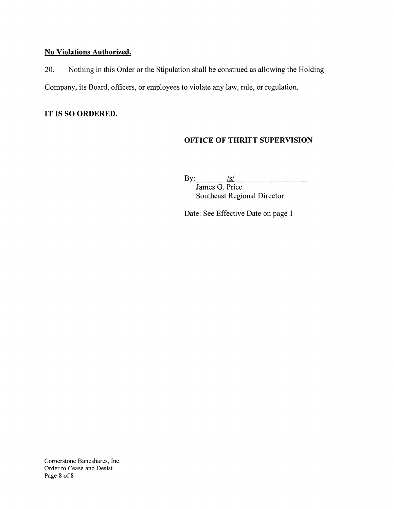# **No Violations Authorized.**

20. Nothing in this Order or the Stipulation shall be construed as allowing the Holding Company, its Board, officers, or employees to violate any law, rule, or regulation.

# **IT IS SO ORDERED.**

# **OFFICE OF THRIFT SUPERVISION**

By:  $/s/$ 

James G. Price Southeast Regional Director

Date: See Effective Date on page 1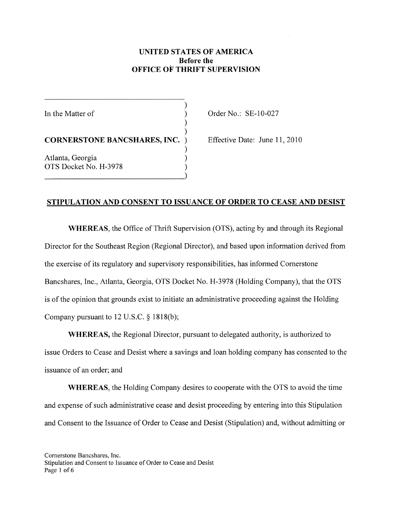# **UNITED STATES OF AMERICA Before the OFFICE OF THRIFT SUPERVISION**

) ) ) )

) ) )

In the Matter of

OTS Docket No. H-3978

**CORNERSTONE BANCSHARES, INC.** ) Effective Date: June **11,** 2010 Atlanta, Georgia

Order No.: SE-I0-027

## **STIPULATION AND CONSENT TO ISSUANCE OF ORDER TO CEASE AND DESIST**

**WHEREAS,** the Office of Thrift Supervision (OTS), acting by and through its Regional Director for the Southeast Region (Regional Director), and based upon information derived from the exercise of its regulatory and supervisory responsibilities, has informed Cornerstone Bancshares, Inc., Atlanta, Georgia, OTS Docket No. H-3978 (Holding Company), that the OTS is of the opinion that grounds exist to initiate an administrative proceeding against the Holding Company pursuant to 12 U.S.C. § 1818(b);

**WHEREAS,** the Regional Director, pursuant to delegated authority, is authorized to issue Orders to Cease and Desist where a savings and loan holding company has consented to the issuance of an order; and

**WHEREAS,** the Holding Company desires to cooperate with the OTS to avoid the time and expense of such administrative cease and desist proceeding by entering into this Stipulation and Consent to the Issuance of Order to Cease and Desist (Stipulation) and, without admitting or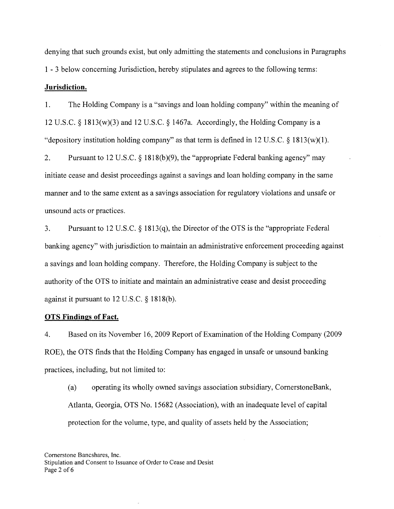denying that such grounds exist, but only admitting the statements and conclusions in Paragraphs 1 - 3 below concerning Jurisdiction, hereby stipulates and agrees to the following terms:

#### **Jurisdiction.**

1. The Holding Company is a "savings and loan holding company" within the meaning of 12 U.S.C. § 1813(w)(3) and 12 U.S.C. § 1467a. Accordingly, the Holding Company is a "depository institution holding company" as that term is defined in 12 U.S.C.  $\S$  1813(w)(1).

2. Pursuant to 12 U.S.C. § 1818(b)(9), the "appropriate Federal banking agency" may initiate cease and desist proceedings against a savings and loan holding company in the same manner and to the same extent as a savings association for regulatory violations and unsafe or unsound acts or practices.

3. Pursuant to 12 U.S.C. § 1813(q), the Director of the OTS is the "appropriate Federal banking agency" with jurisdiction to maintain an administrative enforcement proceeding against a savings and loan holding company. Therefore, the Holding Company is subject to the authority of the OTS to initiate and maintain an administrative cease and desist proceeding against it pursuant to 12 U.S.C. § 1818(b).

## **OTS Findings of Fact.**

4. Based on its November 16,2009 Report of Examination of the Holding Company (2009 ROE), the OTS finds that the Holding Company has engaged in unsafe or unsound banking practices, including, but not limited to:

(a) operating its wholly owned savings association subsidiary, CornerstoneBank, Atlanta, Georgia, OTS No. 15682 (Association), with an inadequate level of capital protection for the volume, type, and quality of assets held by the Association;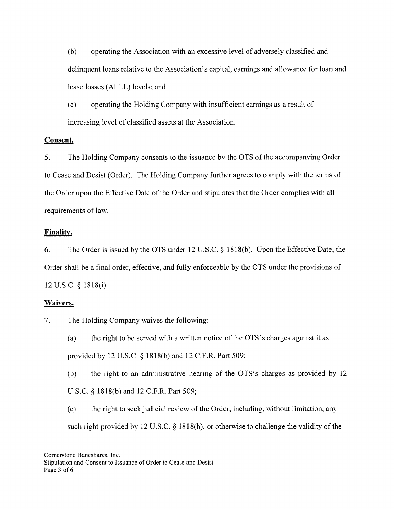(b) operating the Association with an excessive level of adversely classified and delinquent loans relative to the Association's capital, earnings and allowance for loan and lease losses (ALLL) levels; and

(c) operating the Holding Company with insufficient earnings as a result of increasing level of classified assets at the Association.

## **Consent.**

5. The Holding Company consents to the issuance by the OTS of the accompanying Order to Cease and Desist (Order). The Holding Company further agrees to comply with the terms of the Order upon the Effective Date of the Order and stipulates that the Order complies with all requirements of law.

## **Finality.**

6. The Order is issued by the OTS under 12 U.S.C. § 1818(b). Upon the Effective Date, the Order shall be a final order, effective, and fully enforceable by the OTS under the provisions of 12 U.S.C. § 1818(i).

#### **Waivers.**

7. The Holding Company waives the following:

(a) the right to be served with a written notice of the OTS's charges against it as provided by 12 U.S.C. § 1818(b) and 12 C.F.R. Part 509;

(b) the right to an administrative hearing of the OTS's charges as provided by 12

U.S.C. § 1818(b) and 12 C.F.R. Part 509;

(c) the right to seek judicial review of the Order, including, without limitation, any such right provided by 12 U.S.C. § 1818(h), or otherwise to challenge the validity of the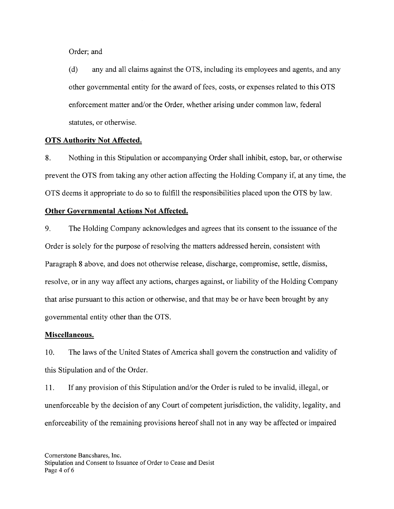Order; and

(d) any and all claims against the OTS, including its employees and agents, and any other governmental entity for the award of fees, costs, or expenses related to this OTS enforcement matter and/or the Order, whether arising under common law, federal statutes, or otherwise.

### **OTS Authority Not Affected.**

8. Nothing in this Stipulation or accompanying Order shall inhibit, estop, bar, or otherwise prevent the OTS from taking any other action affecting the Holding Company if, at any time, the OTS deems it appropriate to do so to fulfill the responsibilities placed upon the OTS by law.

### **Other Governmental Actions Not Affected.**

9. The Holding Company acknowledges and agrees that its consent to the issuance of the Order is solely for the purpose of resolving the matters addressed herein, consistent with Paragraph 8 above, and does not otherwise release, discharge, compromise, settle, dismiss, resolve, or in any way affect any actions, charges against, or liability of the Holding Company that arise pursuant to this action or otherwise, and that may be or have been brought by any governmental entity other than the OTS.

#### **Miscellaneous.**

10. The laws of the United States of America shall govern the construction and validity of this Stipulation and of the Order.

11. If any provision of this Stipulation and/or the Order is ruled to be invalid, illegal, or unenforceable by the decision of any Court of competent jurisdiction, the validity, legality, and enforceability of the remaining provisions hereof shall not in any way be affected or impaired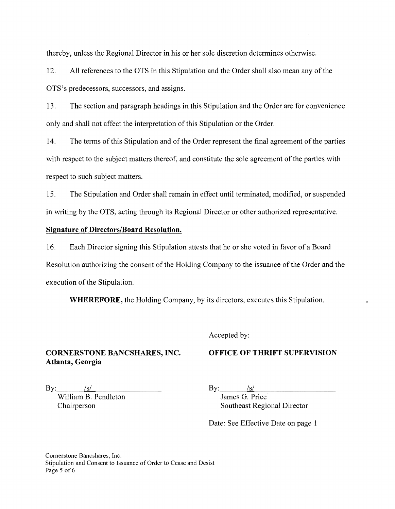thereby, unless the Regional Director in his or her sole discretion determines otherwise.

12. All references to the OTS in this Stipulation and the Order shall also mean any of the OTS's predecessors, successors, and assigns.

13. The section and paragraph headings in this Stipulation and the Order are for convenience only and shall not affect the interpretation of this Stipulation or the Order.

14. The terms of this Stipulation and of the Order represent the final agreement ofthe parties with respect to the subject matters thereof, and constitute the sole agreement of the parties with respect to such subject matters.

15. The Stipulation and Order shall remain in effect until terminated, modified, or suspended in writing by the OTS, acting through its Regional Director or other authorized representative.

#### **Signature of Directors/Board Resolution.**

16. Each Director signing this Stipulation attests that he or she voted in favor of a Board Resolution authorizing the consent of the Holding Company to the issuance of the Order and the execution of the Stipulation.

**WHEREFORE,** the Holding Company, by its directors, executes this Stipulation.

Accepted by:

### **CORNERSTONE BANCSHARES, INC. Atlanta, Georgia**

#### **OFFICE OF THRIFT SUPERVISION**

 $\sqrt{s}$  $\mathbf{By:}$ 

William B. Pendleton Chairperson

By:  $/s/$ 

James G. Price Southeast Regional Director

Date: See Effective Date on page 1

Cornerstone Bancshares, Inc. Stipulation and Consent to Issuance of Order to Cease and Desist Page 5 of 6